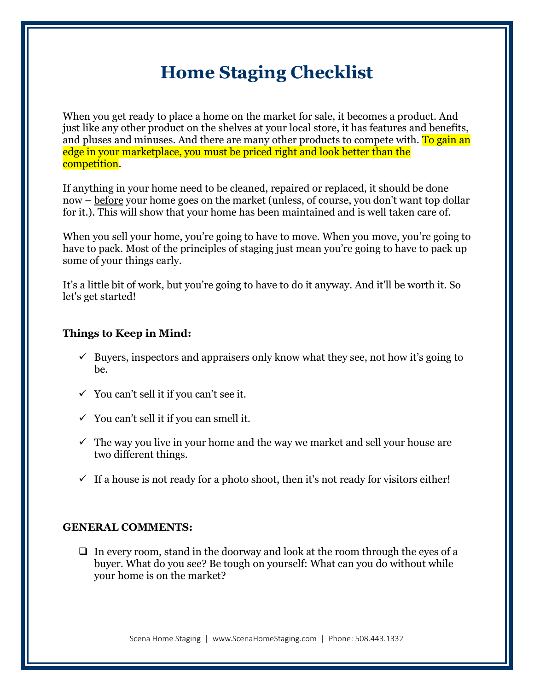# **Home Staging Checklist**

When you get ready to place a home on the market for sale, it becomes a product. And just like any other product on the shelves at your local store, it has features and benefits, and pluses and minuses. And there are many other products to compete with. To gain an edge in your marketplace, you must be priced right and look better than the competition.

If anything in your home need to be cleaned, repaired or replaced, it should be done now – before your home goes on the market (unless, of course, you don't want top dollar for it.). This will show that your home has been maintained and is well taken care of.

When you sell your home, you're going to have to move. When you move, you're going to have to pack. Most of the principles of staging just mean you're going to have to pack up some of your things early.

It's a little bit of work, but you're going to have to do it anyway. And it'll be worth it. So let's get started!

# **Things to Keep in Mind:**

- $\checkmark$  Buyers, inspectors and appraisers only know what they see, not how it's going to be.
- $\checkmark$  You can't sell it if you can't see it.
- $\checkmark$  You can't sell it if you can smell it.
- $\checkmark$  The way you live in your home and the way we market and sell your house are two different things.
- $\checkmark$  If a house is not ready for a photo shoot, then it's not ready for visitors either!

#### **GENERAL COMMENTS:**

 $\Box$  In every room, stand in the doorway and look at the room through the eyes of a buyer. What do you see? Be tough on yourself: What can you do without while your home is on the market?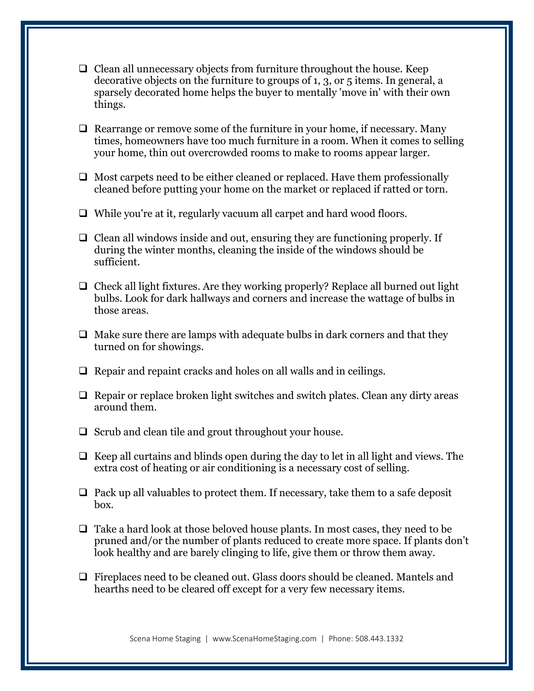- $\Box$  Clean all unnecessary objects from furniture throughout the house. Keep decorative objects on the furniture to groups of 1, 3, or 5 items. In general, a sparsely decorated home helps the buyer to mentally 'move in' with their own things.
- $\Box$  Rearrange or remove some of the furniture in your home, if necessary. Many times, homeowners have too much furniture in a room. When it comes to selling your home, thin out overcrowded rooms to make to rooms appear larger.
- $\Box$  Most carpets need to be either cleaned or replaced. Have them professionally cleaned before putting your home on the market or replaced if ratted or torn.
- $\Box$  While you're at it, regularly vacuum all carpet and hard wood floors.
- $\Box$  Clean all windows inside and out, ensuring they are functioning properly. If during the winter months, cleaning the inside of the windows should be sufficient.
- $\Box$  Check all light fixtures. Are they working properly? Replace all burned out light bulbs. Look for dark hallways and corners and increase the wattage of bulbs in those areas.
- $\Box$  Make sure there are lamps with adequate bulbs in dark corners and that they turned on for showings.
- $\Box$  Repair and repaint cracks and holes on all walls and in ceilings.
- $\Box$  Repair or replace broken light switches and switch plates. Clean any dirty areas around them.
- $\Box$  Scrub and clean tile and grout throughout your house.
- $\Box$  Keep all curtains and blinds open during the day to let in all light and views. The extra cost of heating or air conditioning is a necessary cost of selling.
- $\Box$  Pack up all valuables to protect them. If necessary, take them to a safe deposit box.
- $\Box$  Take a hard look at those beloved house plants. In most cases, they need to be pruned and/or the number of plants reduced to create more space. If plants don't look healthy and are barely clinging to life, give them or throw them away.
- Fireplaces need to be cleaned out. Glass doors should be cleaned. Mantels and hearths need to be cleared off except for a very few necessary items.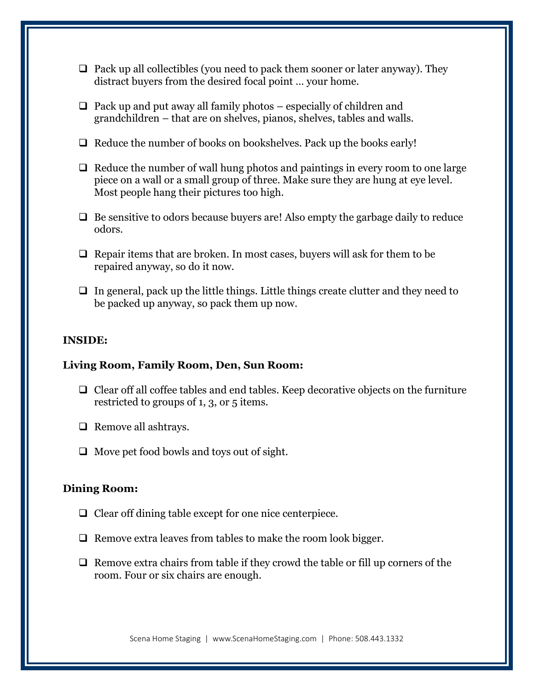- $\Box$  Pack up all collectibles (you need to pack them sooner or later anyway). They distract buyers from the desired focal point … your home.
- $\Box$  Pack up and put away all family photos especially of children and grandchildren – that are on shelves, pianos, shelves, tables and walls.
- $\Box$  Reduce the number of books on bookshelves. Pack up the books early!
- $\Box$  Reduce the number of wall hung photos and paintings in every room to one large piece on a wall or a small group of three. Make sure they are hung at eye level. Most people hang their pictures too high.
- $\Box$  Be sensitive to odors because buyers are! Also empty the garbage daily to reduce odors.
- $\Box$  Repair items that are broken. In most cases, buyers will ask for them to be repaired anyway, so do it now.
- $\Box$  In general, pack up the little things. Little things create clutter and they need to be packed up anyway, so pack them up now.

## **INSIDE:**

#### **Living Room, Family Room, Den, Sun Room:**

- $\Box$  Clear off all coffee tables and end tables. Keep decorative objects on the furniture restricted to groups of 1, 3, or 5 items.
- $\Box$  Remove all ashtrays.
- $\Box$  Move pet food bowls and toys out of sight.

# **Dining Room:**

- $\Box$  Clear off dining table except for one nice centerpiece.
- $\Box$  Remove extra leaves from tables to make the room look bigger.
- $\Box$  Remove extra chairs from table if they crowd the table or fill up corners of the room. Four or six chairs are enough.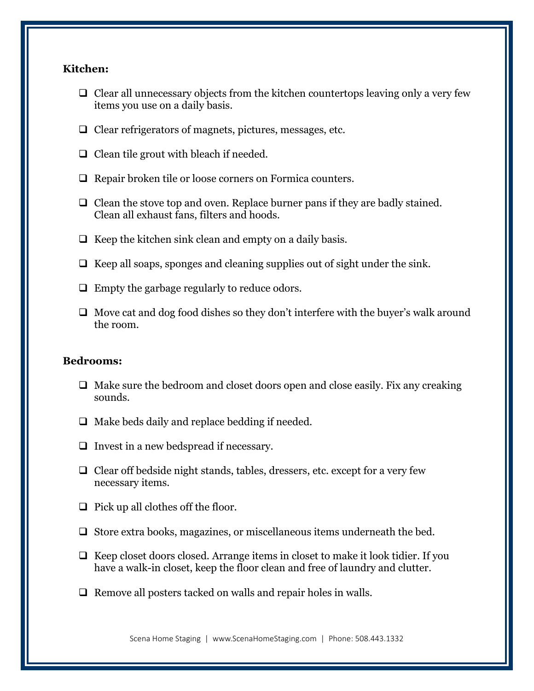# **Kitchen:**

- $\Box$  Clear all unnecessary objects from the kitchen countertops leaving only a very few items you use on a daily basis.
- $\Box$  Clear refrigerators of magnets, pictures, messages, etc.
- $\Box$  Clean tile grout with bleach if needed.
- $\Box$  Repair broken tile or loose corners on Formica counters.
- $\Box$  Clean the stove top and oven. Replace burner pans if they are badly stained. Clean all exhaust fans, filters and hoods.
- $\Box$  Keep the kitchen sink clean and empty on a daily basis.
- $\Box$  Keep all soaps, sponges and cleaning supplies out of sight under the sink.
- $\Box$  Empty the garbage regularly to reduce odors.
- $\Box$  Move cat and dog food dishes so they don't interfere with the buyer's walk around the room.

#### **Bedrooms:**

- $\Box$  Make sure the bedroom and closet doors open and close easily. Fix any creaking sounds.
- $\Box$  Make beds daily and replace bedding if needed.
- $\Box$  Invest in a new bedspread if necessary.
- $\Box$  Clear off bedside night stands, tables, dressers, etc. except for a very few necessary items.
- $\Box$  Pick up all clothes off the floor.
- $\Box$  Store extra books, magazines, or miscellaneous items underneath the bed.
- $\Box$  Keep closet doors closed. Arrange items in closet to make it look tidier. If you have a walk-in closet, keep the floor clean and free of laundry and clutter.
- $\Box$  Remove all posters tacked on walls and repair holes in walls.

Scena Home Staging | www.ScenaHomeStaging.com | Phone: 508.443.1332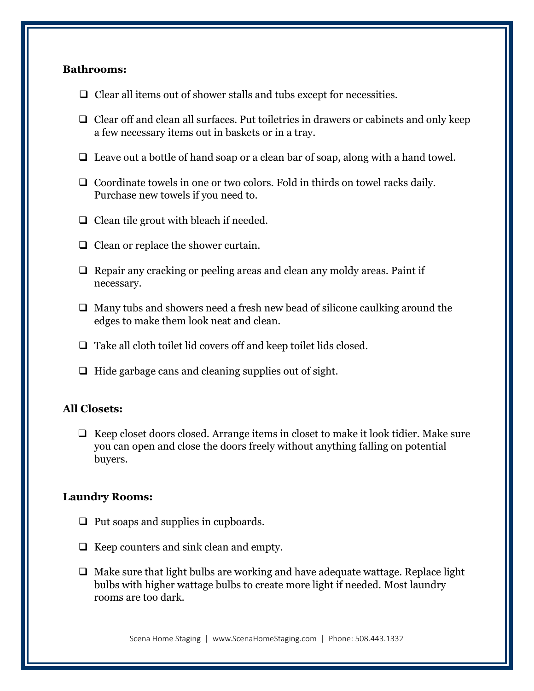## **Bathrooms:**

- $\Box$  Clear all items out of shower stalls and tubs except for necessities.
- $\Box$  Clear off and clean all surfaces. Put toiletries in drawers or cabinets and only keep a few necessary items out in baskets or in a tray.
- $\Box$  Leave out a bottle of hand soap or a clean bar of soap, along with a hand towel.
- $\Box$  Coordinate towels in one or two colors. Fold in thirds on towel racks daily. Purchase new towels if you need to.
- $\Box$  Clean tile grout with bleach if needed.
- $\Box$  Clean or replace the shower curtain.
- $\Box$  Repair any cracking or peeling areas and clean any moldy areas. Paint if necessary.
- $\Box$  Many tubs and showers need a fresh new bead of silicone caulking around the edges to make them look neat and clean.
- $\Box$  Take all cloth toilet lid covers off and keep toilet lids closed.
- $\Box$  Hide garbage cans and cleaning supplies out of sight.

# **All Closets:**

 $\Box$  Keep closet doors closed. Arrange items in closet to make it look tidier. Make sure you can open and close the doors freely without anything falling on potential buyers.

#### **Laundry Rooms:**

- $\Box$  Put soaps and supplies in cupboards.
- $\Box$  Keep counters and sink clean and empty.
- $\Box$  Make sure that light bulbs are working and have adequate wattage. Replace light bulbs with higher wattage bulbs to create more light if needed. Most laundry rooms are too dark.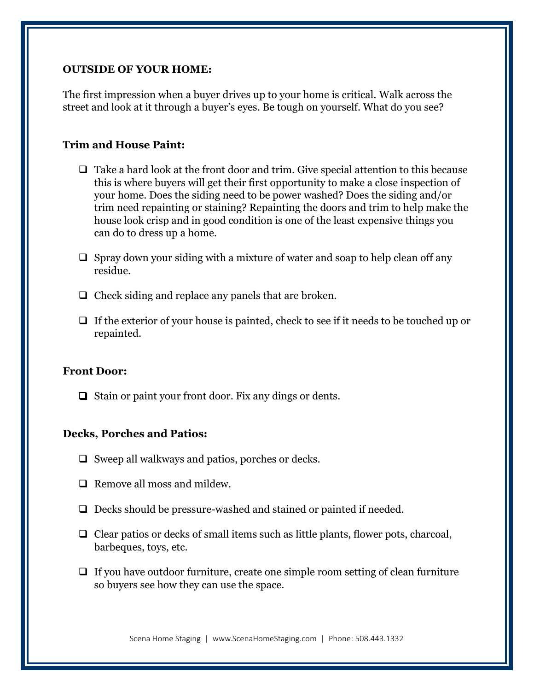#### **OUTSIDE OF YOUR HOME:**

The first impression when a buyer drives up to your home is critical. Walk across the street and look at it through a buyer's eyes. Be tough on yourself. What do you see?

#### **Trim and House Paint:**

- $\Box$  Take a hard look at the front door and trim. Give special attention to this because this is where buyers will get their first opportunity to make a close inspection of your home. Does the siding need to be power washed? Does the siding and/or trim need repainting or staining? Repainting the doors and trim to help make the house look crisp and in good condition is one of the least expensive things you can do to dress up a home.
- $\Box$  Spray down your siding with a mixture of water and soap to help clean off any residue.
- $\Box$  Check siding and replace any panels that are broken.
- $\Box$  If the exterior of your house is painted, check to see if it needs to be touched up or repainted.

#### **Front Door:**

 $\Box$  Stain or paint your front door. Fix any dings or dents.

#### **Decks, Porches and Patios:**

- $\Box$  Sweep all walkways and patios, porches or decks.
- $\Box$  Remove all moss and mildew.
- Decks should be pressure-washed and stained or painted if needed.
- $\Box$  Clear patios or decks of small items such as little plants, flower pots, charcoal, barbeques, toys, etc.
- $\Box$  If you have outdoor furniture, create one simple room setting of clean furniture so buyers see how they can use the space.